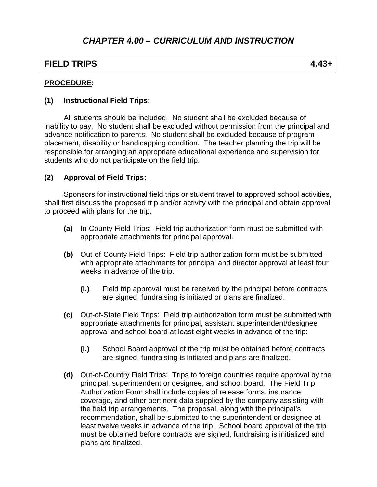## **FIELD TRIPS 4.43+**

#### **PROCEDURE:**

#### **(1) Instructional Field Trips:**

All students should be included. No student shall be excluded because of inability to pay. No student shall be excluded without permission from the principal and advance notification to parents. No student shall be excluded because of program placement, disability or handicapping condition. The teacher planning the trip will be responsible for arranging an appropriate educational experience and supervision for students who do not participate on the field trip.

### **(2) Approval of Field Trips:**

Sponsors for instructional field trips or student travel to approved school activities, shall first discuss the proposed trip and/or activity with the principal and obtain approval to proceed with plans for the trip.

- **(a)** In-County Field Trips: Field trip authorization form must be submitted with appropriate attachments for principal approval.
- **(b)** Out-of-County Field Trips: Field trip authorization form must be submitted with appropriate attachments for principal and director approval at least four weeks in advance of the trip.
	- **(i.)** Field trip approval must be received by the principal before contracts are signed, fundraising is initiated or plans are finalized.
- **(c)** Out-of-State Field Trips: Field trip authorization form must be submitted with appropriate attachments for principal, assistant superintendent/designee approval and school board at least eight weeks in advance of the trip:
	- **(i.)** School Board approval of the trip must be obtained before contracts are signed, fundraising is initiated and plans are finalized.
- **(d)** Out-of-Country Field Trips: Trips to foreign countries require approval by the principal, superintendent or designee, and school board. The Field Trip Authorization Form shall include copies of release forms, insurance coverage, and other pertinent data supplied by the company assisting with the field trip arrangements. The proposal, along with the principal's recommendation, shall be submitted to the superintendent or designee at least twelve weeks in advance of the trip. School board approval of the trip must be obtained before contracts are signed, fundraising is initialized and plans are finalized.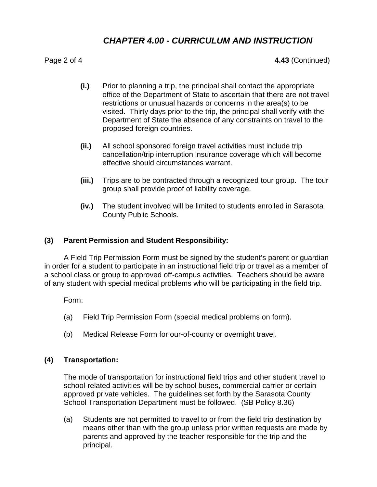## *CHAPTER 4.00 - CURRICULUM AND INSTRUCTION*

Page 2 of 4 **4.43** (Continued)

- **(i.)** Prior to planning a trip, the principal shall contact the appropriate office of the Department of State to ascertain that there are not travel restrictions or unusual hazards or concerns in the area(s) to be visited. Thirty days prior to the trip, the principal shall verify with the Department of State the absence of any constraints on travel to the proposed foreign countries.
- **(ii.)** All school sponsored foreign travel activities must include trip cancellation/trip interruption insurance coverage which will become effective should circumstances warrant.
- **(iii.)** Trips are to be contracted through a recognized tour group. The tour group shall provide proof of liability coverage.
- **(iv.)** The student involved will be limited to students enrolled in Sarasota County Public Schools.

#### **(3) Parent Permission and Student Responsibility:**

A Field Trip Permission Form must be signed by the student's parent or guardian in order for a student to participate in an instructional field trip or travel as a member of a school class or group to approved off-campus activities. Teachers should be aware of any student with special medical problems who will be participating in the field trip.

Form:

- (a) Field Trip Permission Form (special medical problems on form).
- (b) Medical Release Form for our-of-county or overnight travel.

#### **(4) Transportation:**

The mode of transportation for instructional field trips and other student travel to school-related activities will be by school buses, commercial carrier or certain approved private vehicles. The guidelines set forth by the Sarasota County School Transportation Department must be followed. (SB Policy 8.36)

(a) Students are not permitted to travel to or from the field trip destination by means other than with the group unless prior written requests are made by parents and approved by the teacher responsible for the trip and the principal.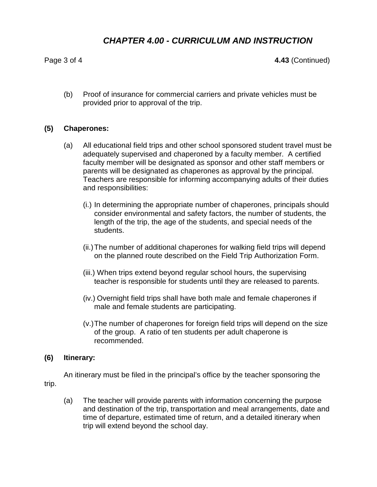# *CHAPTER 4.00 - CURRICULUM AND INSTRUCTION*

Page 3 of 4 **4.43** (Continued)

(b) Proof of insurance for commercial carriers and private vehicles must be provided prior to approval of the trip.

#### **(5) Chaperones:**

- (a) All educational field trips and other school sponsored student travel must be adequately supervised and chaperoned by a faculty member. A certified faculty member will be designated as sponsor and other staff members or parents will be designated as chaperones as approval by the principal. Teachers are responsible for informing accompanying adults of their duties and responsibilities:
	- (i.) In determining the appropriate number of chaperones, principals should consider environmental and safety factors, the number of students, the length of the trip, the age of the students, and special needs of the students.
	- (ii.)The number of additional chaperones for walking field trips will depend on the planned route described on the Field Trip Authorization Form.
	- (iii.) When trips extend beyond regular school hours, the supervising teacher is responsible for students until they are released to parents.
	- (iv.) Overnight field trips shall have both male and female chaperones if male and female students are participating.
	- (v.)The number of chaperones for foreign field trips will depend on the size of the group. A ratio of ten students per adult chaperone is recommended.

#### **(6) Itinerary:**

An itinerary must be filed in the principal's office by the teacher sponsoring the trip.

(a) The teacher will provide parents with information concerning the purpose and destination of the trip, transportation and meal arrangements, date and time of departure, estimated time of return, and a detailed itinerary when trip will extend beyond the school day.